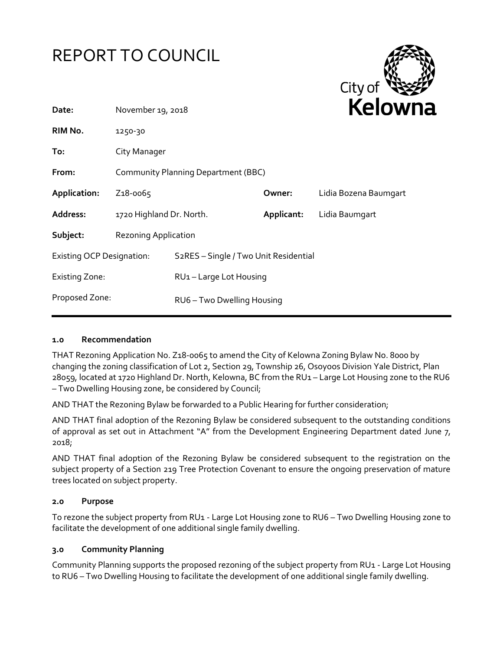



| Date:                            | November 19, 2018                   |                                                    | <b>NEIUWI</b> |                       |
|----------------------------------|-------------------------------------|----------------------------------------------------|---------------|-----------------------|
| RIM No.                          | 1250-30                             |                                                    |               |                       |
| To:                              | City Manager                        |                                                    |               |                       |
| From:                            | Community Planning Department (BBC) |                                                    |               |                       |
| Application:                     | Z <sub>1</sub> 8-0065               |                                                    | Owner:        | Lidia Bozena Baumgart |
| <b>Address:</b>                  | 1720 Highland Dr. North.            |                                                    | Applicant:    | Lidia Baumgart        |
| Subject:                         | Rezoning Application                |                                                    |               |                       |
| <b>Existing OCP Designation:</b> |                                     | S <sub>2</sub> RES - Single / Two Unit Residential |               |                       |
| <b>Existing Zone:</b>            |                                     | RU1-Large Lot Housing                              |               |                       |
| Proposed Zone:                   |                                     | RU6-Two Dwelling Housing                           |               |                       |
|                                  |                                     |                                                    |               |                       |

### **1.0 Recommendation**

THAT Rezoning Application No. Z18-0065 to amend the City of Kelowna Zoning Bylaw No. 8000 by changing the zoning classification of Lot 2, Section 29, Township 26, Osoyoos Division Yale District, Plan 28059, located at 1720 Highland Dr. North, Kelowna, BC from the RU1 – Large Lot Housing zone to the RU6 – Two Dwelling Housing zone, be considered by Council;

AND THAT the Rezoning Bylaw be forwarded to a Public Hearing for further consideration;

AND THAT final adoption of the Rezoning Bylaw be considered subsequent to the outstanding conditions of approval as set out in Attachment "A" from the Development Engineering Department dated June 7, 2018;

AND THAT final adoption of the Rezoning Bylaw be considered subsequent to the registration on the subject property of a Section 219 Tree Protection Covenant to ensure the ongoing preservation of mature trees located on subject property.

### **2.0 Purpose**

To rezone the subject property from RU1 - Large Lot Housing zone to RU6 – Two Dwelling Housing zone to facilitate the development of one additional single family dwelling.

### **3.0 Community Planning**

Community Planning supports the proposed rezoning of the subject property from RU1 - Large Lot Housing to RU6 – Two Dwelling Housing to facilitate the development of one additional single family dwelling.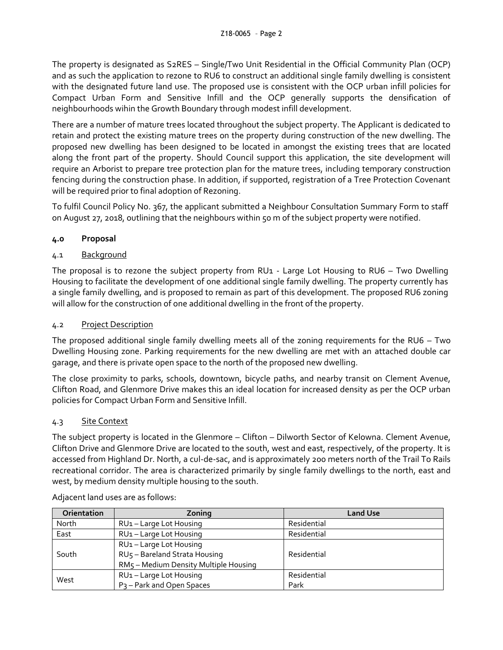The property is designated as S2RES – Single/Two Unit Residential in the Official Community Plan (OCP) and as such the application to rezone to RU6 to construct an additional single family dwelling is consistent with the designated future land use. The proposed use is consistent with the OCP urban infill policies for Compact Urban Form and Sensitive Infill and the OCP generally supports the densification of neighbourhoods wihin the Growth Boundary through modest infill development.

There are a number of mature trees located throughout the subject property. The Applicant is dedicated to retain and protect the existing mature trees on the property during construction of the new dwelling. The proposed new dwelling has been designed to be located in amongst the existing trees that are located along the front part of the property. Should Council support this application, the site development will require an Arborist to prepare tree protection plan for the mature trees, including temporary construction fencing during the construction phase. In addition, if supported, registration of a Tree Protection Covenant will be required prior to final adoption of Rezoning.

To fulfil Council Policy No. 367, the applicant submitted a Neighbour Consultation Summary Form to staff on August 27, 2018, outlining that the neighbours within 50 m of the subject property were notified.

# **4.0 Proposal**

# 4.1 Background

The proposal is to rezone the subject property from RU1 - Large Lot Housing to RU6 – Two Dwelling Housing to facilitate the development of one additional single family dwelling. The property currently has a single family dwelling, and is proposed to remain as part of this development. The proposed RU6 zoning will allow for the construction of one additional dwelling in the front of the property.

# 4.2 Project Description

The proposed additional single family dwelling meets all of the zoning requirements for the RU6 – Two Dwelling Housing zone. Parking requirements for the new dwelling are met with an attached double car garage, and there is private open space to the north of the proposed new dwelling.

The close proximity to parks, schools, downtown, bicycle paths, and nearby transit on Clement Avenue, Clifton Road, and Glenmore Drive makes this an ideal location for increased density as per the OCP urban policies for Compact Urban Form and Sensitive Infill.

# 4.3 Site Context

The subject property is located in the Glenmore – Clifton – Dilworth Sector of Kelowna. Clement Avenue, Clifton Drive and Glenmore Drive are located to the south, west and east, respectively, of the property. It is accessed from Highland Dr. North, a cul-de-sac, and is approximately 200 meters north of the Trail To Rails recreational corridor. The area is characterized primarily by single family dwellings to the north, east and west, by medium density multiple housing to the south.

| <b>Orientation</b> | Zoning                                | <b>Land Use</b> |  |
|--------------------|---------------------------------------|-----------------|--|
| North              | RU1-Large Lot Housing                 | Residential     |  |
| East               | RU1-Large Lot Housing                 | Residential     |  |
| South              | RU1-Large Lot Housing                 |                 |  |
|                    | RU5 - Bareland Strata Housing         | Residential     |  |
|                    | RM5 - Medium Density Multiple Housing |                 |  |
| West               | RU1-Large Lot Housing                 | Residential     |  |
|                    | P <sub>3</sub> - Park and Open Spaces | Park            |  |

Adjacent land uses are as follows: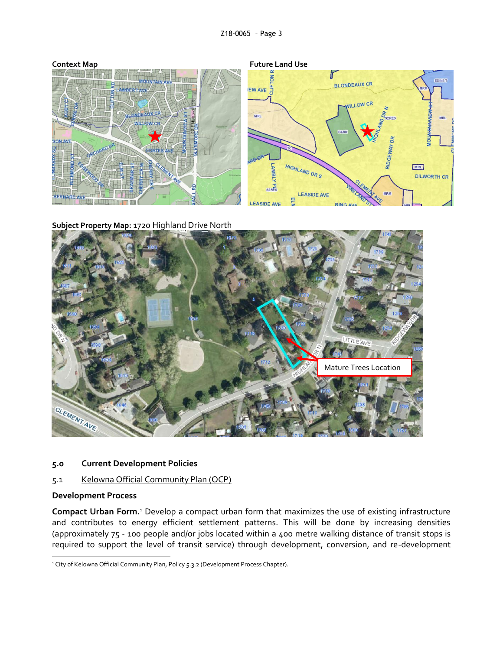

**Subject Property Map:** 1720 Highland Drive North



### **5.0 Current Development Policies**

### 5.1 Kelowna Official Community Plan (OCP)

#### **Development Process**

1

**Compact Urban Form.**<sup>1</sup> Develop a compact urban form that maximizes the use of existing infrastructure and contributes to energy efficient settlement patterns. This will be done by increasing densities (approximately 75 - 100 people and/or jobs located within a 400 metre walking distance of transit stops is required to support the level of transit service) through development, conversion, and re-development

<sup>&</sup>lt;sup>1</sup> City of Kelowna Official Community Plan, Policy 5.3.2 (Development Process Chapter).